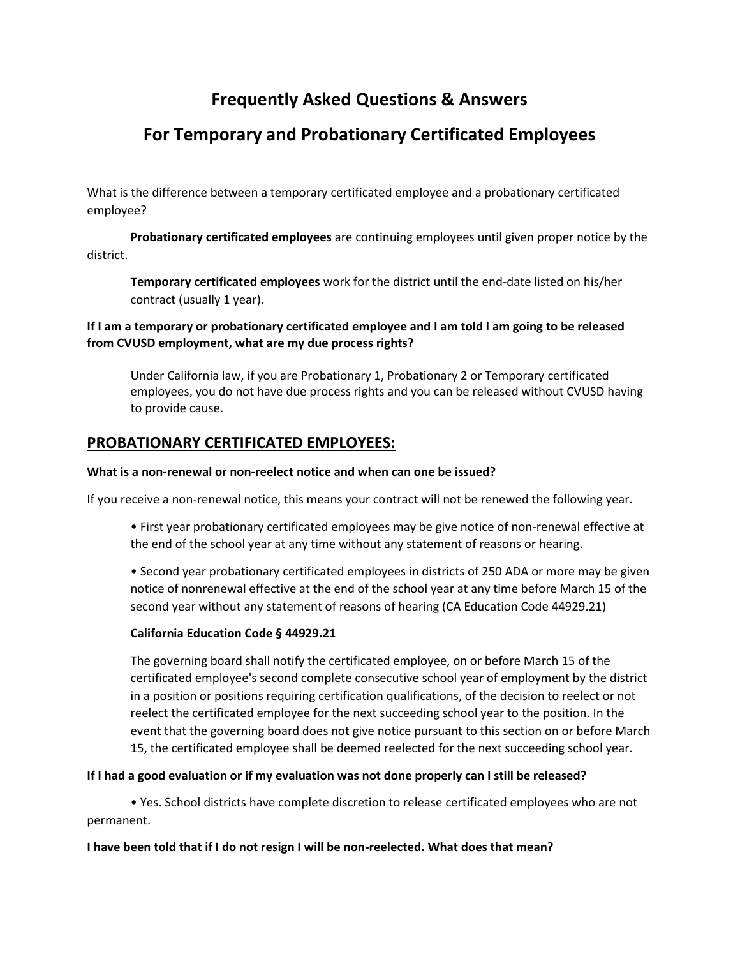# **Frequently Asked Questions & Answers**

# **For Temporary and Probationary Certificated Employees**

What is the difference between a temporary certificated employee and a probationary certificated employee?

**Probationary certificated employees** are continuing employees until given proper notice by the district.

**Temporary certificated employees** work for the district until the end-date listed on his/her contract (usually 1 year).

# **If I am a temporary or probationary certificated employee and I am told I am going to be released from CVUSD employment, what are my due process rights?**

Under California law, if you are Probationary 1, Probationary 2 or Temporary certificated employees, you do not have due process rights and you can be released without CVUSD having to provide cause.

# **PROBATIONARY CERTIFICATED EMPLOYEES:**

## **What is a non-renewal or non-reelect notice and when can one be issued?**

If you receive a non-renewal notice, this means your contract will not be renewed the following year.

• First year probationary certificated employees may be give notice of non-renewal effective at the end of the school year at any time without any statement of reasons or hearing.

• Second year probationary certificated employees in districts of 250 ADA or more may be given notice of nonrenewal effective at the end of the school year at any time before March 15 of the second year without any statement of reasons of hearing (CA Education Code 44929.21)

## **California Education Code § 44929.21**

The governing board shall notify the certificated employee, on or before March 15 of the certificated employee's second complete consecutive school year of employment by the district in a position or positions requiring certification qualifications, of the decision to reelect or not reelect the certificated employee for the next succeeding school year to the position. In the event that the governing board does not give notice pursuant to this section on or before March 15, the certificated employee shall be deemed reelected for the next succeeding school year.

## **If I had a good evaluation or if my evaluation was not done properly can I still be released?**

• Yes. School districts have complete discretion to release certificated employees who are not permanent.

## **I have been told that if I do not resign I will be non-reelected. What does that mean?**